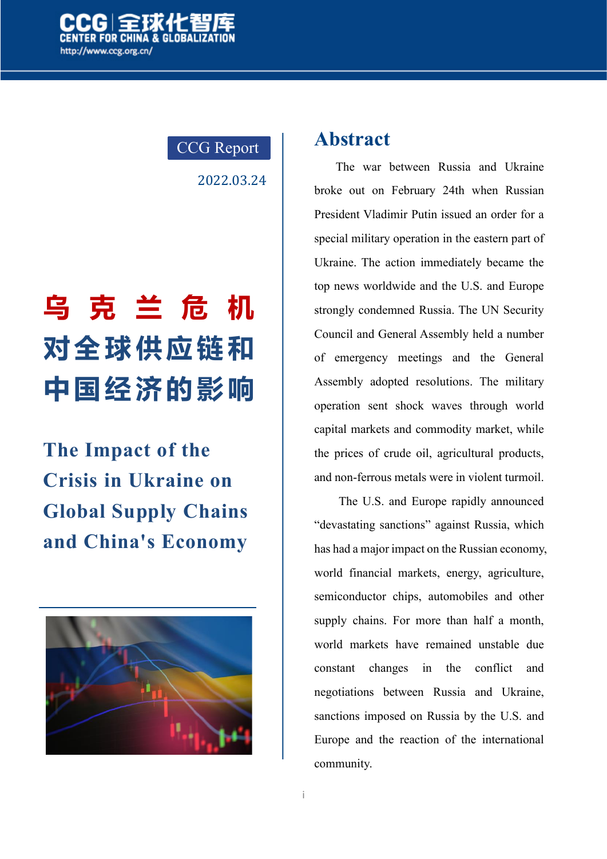

### CCG Report

2022.03.24

# **乌 克 兰 危 机 对全球供应链和 中国经济的影响**

**The Impact of the Crisis in Ukraine on Global Supply Chains and China's Economy**



### **Abstract**

The war between Russia and Ukraine broke out on February 24th when Russian President Vladimir Putin issued an order for a special military operation in the eastern part of Ukraine. The action immediately became the top news worldwide and the U.S. and Europe strongly condemned Russia. The UN Security Council and General Assembly held a number of emergency meetings and the General Assembly adopted resolutions. The military operation sent shock waves through world capital markets and commodity market, while the prices of crude oil, agricultural products, and non-ferrous metals were in violent turmoil.

The U.S. and Europe rapidly announced "devastating sanctions" against Russia, which has had a major impact on the Russian economy, world financial markets, energy, agriculture, semiconductor chips, automobiles and other supply chains. For more than half a month, world markets have remained unstable due constant changes in the conflict and negotiations between Russia and Ukraine, sanctions imposed on Russia by the U.S. and Europe and the reaction of the international community.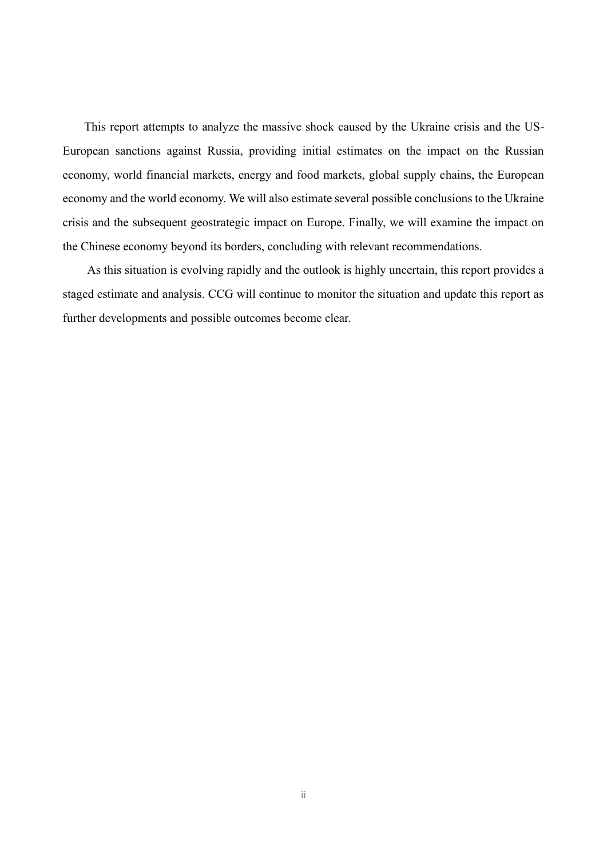This report attempts to analyze the massive shock caused by the Ukraine crisis and the US-European sanctions against Russia, providing initial estimates on the impact on the Russian economy, world financial markets, energy and food markets, global supply chains, the European economy and the world economy. We will also estimate several possible conclusions to the Ukraine crisis and the subsequent geostrategic impact on Europe. Finally, we will examine the impact on the Chinese economy beyond its borders, concluding with relevant recommendations.

As this situation is evolving rapidly and the outlook is highly uncertain, this report provides a staged estimate and analysis. CCG will continue to monitor the situation and update this report as further developments and possible outcomes become clear.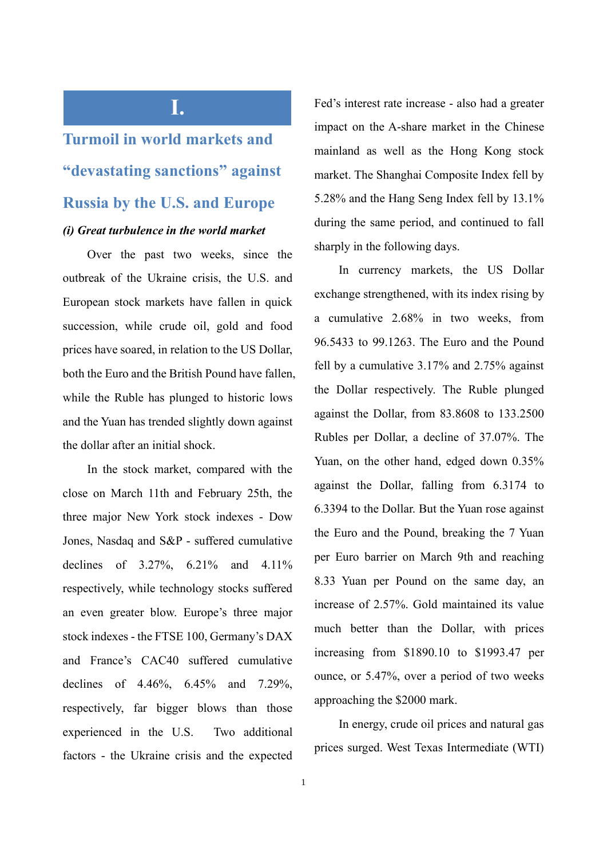### **I.**

## **Turmoil in world markets and "devastating sanctions" against Russia by the U.S. and Europe** *(i) Great turbulence in the world market*

Over the past two weeks, since the outbreak of the Ukraine crisis, the U.S. and European stock markets have fallen in quick succession, while crude oil, gold and food prices have soared, in relation to the US Dollar, both the Euro and the British Pound have fallen, while the Ruble has plunged to historic lows and the Yuan has trended slightly down against the dollar after an initial shock.

In the stock market, compared with the close on March 11th and February 25th, the three major New York stock indexes - Dow Jones, Nasdaq and S&P - suffered cumulative declines of 3.27%, 6.21% and 4.11% respectively, while technology stocks suffered an even greater blow. Europe's three major stock indexes - the FTSE 100, Germany's DAX and France's CAC40 suffered cumulative declines of 4.46%, 6.45% and 7.29%, respectively, far bigger blows than those experienced in the U.S. Two additional factors - the Ukraine crisis and the expected Fed's interest rate increase - also had a greater impact on the A-share market in the Chinese mainland as well as the Hong Kong stock market. The Shanghai Composite Index fell by 5.28% and the Hang Seng Index fell by 13.1% during the same period, and continued to fall sharply in the following days.

In currency markets, the US Dollar exchange strengthened, with its index rising by a cumulative 2.68% in two weeks, from 96.5433 to 99.1263. The Euro and the Pound fell by a cumulative 3.17% and 2.75% against the Dollar respectively. The Ruble plunged against the Dollar, from 83.8608 to 133.2500 Rubles per Dollar, a decline of 37.07%. The Yuan, on the other hand, edged down 0.35% against the Dollar, falling from 6.3174 to 6.3394 to the Dollar. But the Yuan rose against the Euro and the Pound, breaking the 7 Yuan per Euro barrier on March 9th and reaching 8.33 Yuan per Pound on the same day, an increase of 2.57%. Gold maintained its value much better than the Dollar, with prices increasing from \$1890.10 to \$1993.47 per ounce, or 5.47%, over a period of two weeks approaching the \$2000 mark.

In energy, crude oil prices and natural gas prices surged. West Texas Intermediate (WTI)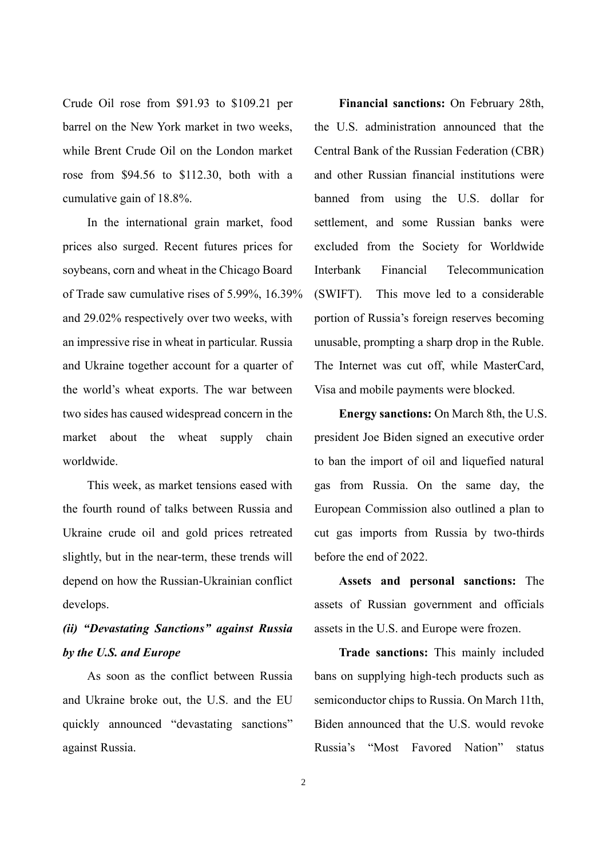Crude Oil rose from \$91.93 to \$109.21 per barrel on the New York market in two weeks, while Brent Crude Oil on the London market rose from \$94.56 to \$112.30, both with a cumulative gain of 18.8%.

In the international grain market, food prices also surged. Recent futures prices for soybeans, corn and wheat in the Chicago Board of Trade saw cumulative rises of 5.99%, 16.39% and 29.02% respectively over two weeks, with an impressive rise in wheat in particular. Russia and Ukraine together account for a quarter of the world's wheat exports. The war between two sides has caused widespread concern in the market about the wheat supply chain worldwide.

This week, as market tensions eased with the fourth round of talks between Russia and Ukraine crude oil and gold prices retreated slightly, but in the near-term, these trends will depend on how the Russian-Ukrainian conflict develops.

### *(ii) "Devastating Sanctions" against Russia by the U.S. and Europe*

As soon as the conflict between Russia and Ukraine broke out, the U.S. and the EU quickly announced "devastating sanctions" against Russia.

**Financial sanctions:** On February 28th, the U.S. administration announced that the Central Bank of the Russian Federation (CBR) and other Russian financial institutions were banned from using the U.S. dollar for settlement, and some Russian banks were excluded from the Society for Worldwide Interbank Financial Telecommunication (SWIFT). This move led to a considerable portion of Russia's foreign reserves becoming unusable, prompting a sharp drop in the Ruble. The Internet was cut off, while MasterCard, Visa and mobile payments were blocked.

**Energy sanctions:** On March 8th, the U.S. president Joe Biden signed an executive order to ban the import of oil and liquefied natural gas from Russia. On the same day, the European Commission also outlined a plan to cut gas imports from Russia by two-thirds before the end of 2022.

**Assets and personal sanctions:** The assets of Russian government and officials assets in the U.S. and Europe were frozen.

**Trade sanctions:** This mainly included bans on supplying high-tech products such as semiconductor chips to Russia. On March 11th, Biden announced that the U.S. would revoke Russia's "Most Favored Nation" status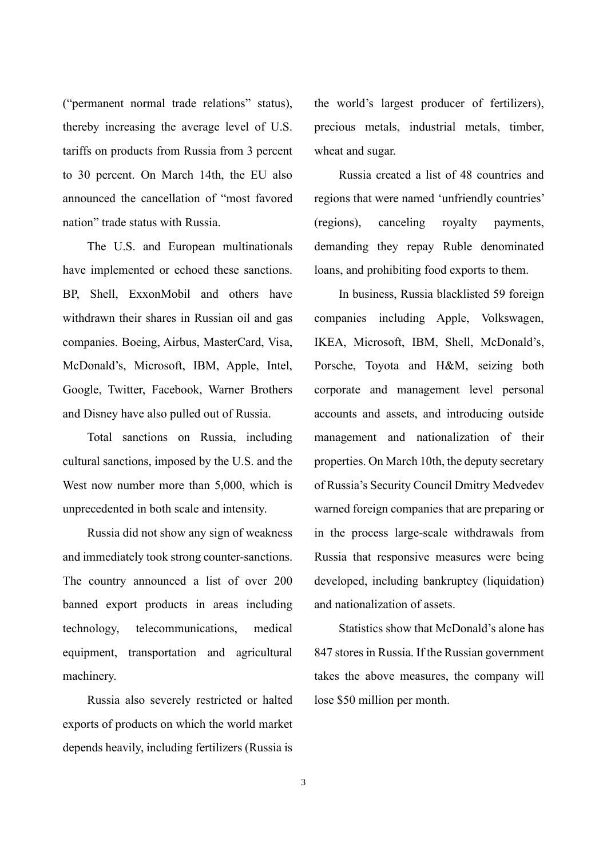("permanent normal trade relations" status), thereby increasing the average level of U.S. tariffs on products from Russia from 3 percent to 30 percent. On March 14th, the EU also announced the cancellation of "most favored nation" trade status with Russia.

The U.S. and European multinationals have implemented or echoed these sanctions. BP, Shell, ExxonMobil and others have withdrawn their shares in Russian oil and gas companies. Boeing, Airbus, MasterCard, Visa, McDonald's, Microsoft, IBM, Apple, Intel, Google, Twitter, Facebook, Warner Brothers and Disney have also pulled out of Russia.

Total sanctions on Russia, including cultural sanctions, imposed by the U.S. and the West now number more than 5,000, which is unprecedented in both scale and intensity.

Russia did not show any sign of weakness and immediately took strong counter-sanctions. The country announced a list of over 200 banned export products in areas including technology, telecommunications, medical equipment, transportation and agricultural machinery.

Russia also severely restricted or halted exports of products on which the world market depends heavily, including fertilizers (Russia is

the world's largest producer of fertilizers), precious metals, industrial metals, timber, wheat and sugar.

Russia created a list of 48 countries and regions that were named 'unfriendly countries' (regions), canceling royalty payments, demanding they repay Ruble denominated loans, and prohibiting food exports to them.

In business, Russia blacklisted 59 foreign companies including Apple, Volkswagen, IKEA, Microsoft, IBM, Shell, McDonald's, Porsche, Toyota and H&M, seizing both corporate and management level personal accounts and assets, and introducing outside management and nationalization of their properties. On March 10th, the deputy secretary of Russia's Security Council Dmitry Medvedev warned foreign companies that are preparing or in the process large-scale withdrawals from Russia that responsive measures were being developed, including bankruptcy (liquidation) and nationalization of assets.

Statistics show that McDonald's alone has 847 stores in Russia. If the Russian government takes the above measures, the company will lose \$50 million per month.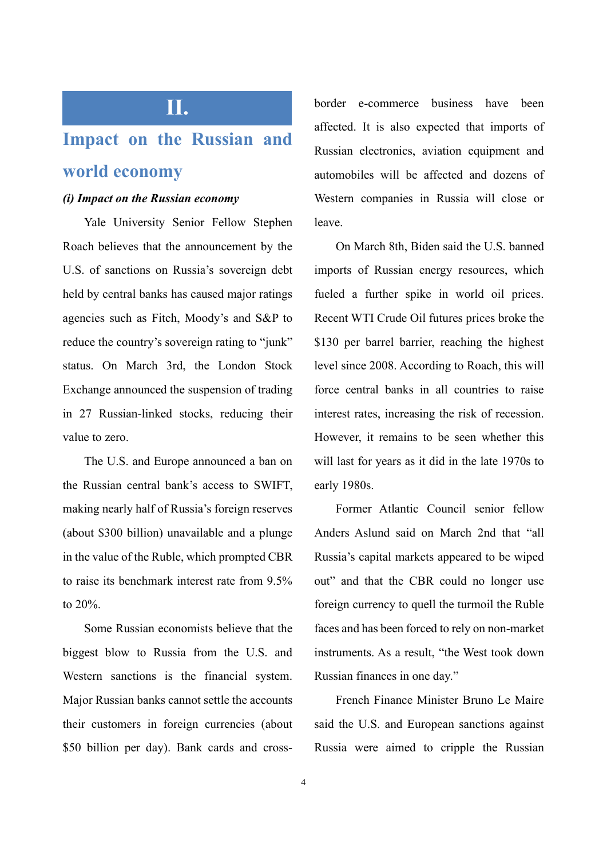## **Impact on the Russian and world economy**

**II.**

### *(i) Impact on the Russian economy*

Yale University Senior Fellow Stephen Roach believes that the announcement by the U.S. of sanctions on Russia's sovereign debt held by central banks has caused major ratings agencies such as Fitch, Moody's and S&P to reduce the country's sovereign rating to "junk" status. On March 3rd, the London Stock Exchange announced the suspension of trading in 27 Russian-linked stocks, reducing their value to zero.

The U.S. and Europe announced a ban on the Russian central bank's access to SWIFT, making nearly half of Russia's foreign reserves (about \$300 billion) unavailable and a plunge in the value of the Ruble, which prompted CBR to raise its benchmark interest rate from 9.5% to 20%.

Some Russian economists believe that the biggest blow to Russia from the U.S. and Western sanctions is the financial system. Major Russian banks cannot settle the accounts their customers in foreign currencies (about \$50 billion per day). Bank cards and crossborder e-commerce business have been affected. It is also expected that imports of Russian electronics, aviation equipment and automobiles will be affected and dozens of Western companies in Russia will close or leave.

On March 8th, Biden said the U.S. banned imports of Russian energy resources, which fueled a further spike in world oil prices. Recent WTI Crude Oil futures prices broke the \$130 per barrel barrier, reaching the highest level since 2008. According to Roach, this will force central banks in all countries to raise interest rates, increasing the risk of recession. However, it remains to be seen whether this will last for years as it did in the late 1970s to early 1980s.

Former Atlantic Council senior fellow Anders Aslund said on March 2nd that "all Russia's capital markets appeared to be wiped out" and that the CBR could no longer use foreign currency to quell the turmoil the Ruble faces and has been forced to rely on non-market instruments. As a result, "the West took down Russian finances in one day."

French Finance Minister Bruno Le Maire said the U.S. and European sanctions against Russia were aimed to cripple the Russian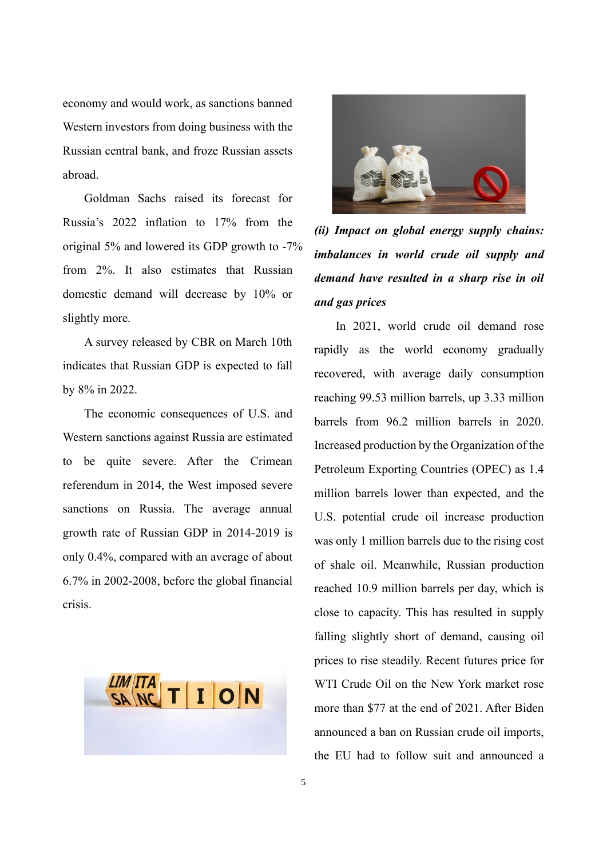economy and would work, as sanctions banned Western investors from doing business with the Russian central bank, and froze Russian assets abroad.

Goldman Sachs raised its forecast for Russia's 2022 inflation to 17% from the original 5% and lowered its GDP growth to -7% from 2%. It also estimates that Russian domestic demand will decrease by 10% or slightly more.

A survey released by CBR on March 10th indicates that Russian GDP is expected to fall by 8% in 2022.

The economic consequences of U.S. and Western sanctions against Russia are estimated to be quite severe. After the Crimean referendum in 2014, the West imposed severe sanctions on Russia. The average annual growth rate of Russian GDP in 2014-2019 is only 0.4%, compared with an average of about 6.7% in 2002-2008, before the global financial crisis.





*(ii) Impact on global energy supply chains: imbalances in world crude oil supply and demand have resulted in a sharp rise in oil and gas prices* 

In 2021, world crude oil demand rose rapidly as the world economy gradually recovered, with average daily consumption reaching 99.53 million barrels, up 3.33 million barrels from 96.2 million barrels in 2020. Increased production by the Organization of the Petroleum Exporting Countries (OPEC) as 1.4 million barrels lower than expected, and the U.S. potential crude oil increase production was only 1 million barrels due to the rising cost of shale oil. Meanwhile, Russian production reached 10.9 million barrels per day, which is close to capacity. This has resulted in supply falling slightly short of demand, causing oil prices to rise steadily. Recent futures price for WTI Crude Oil on the New York market rose more than \$77 at the end of 2021. After Biden announced a ban on Russian crude oil imports, the EU had to follow suit and announced a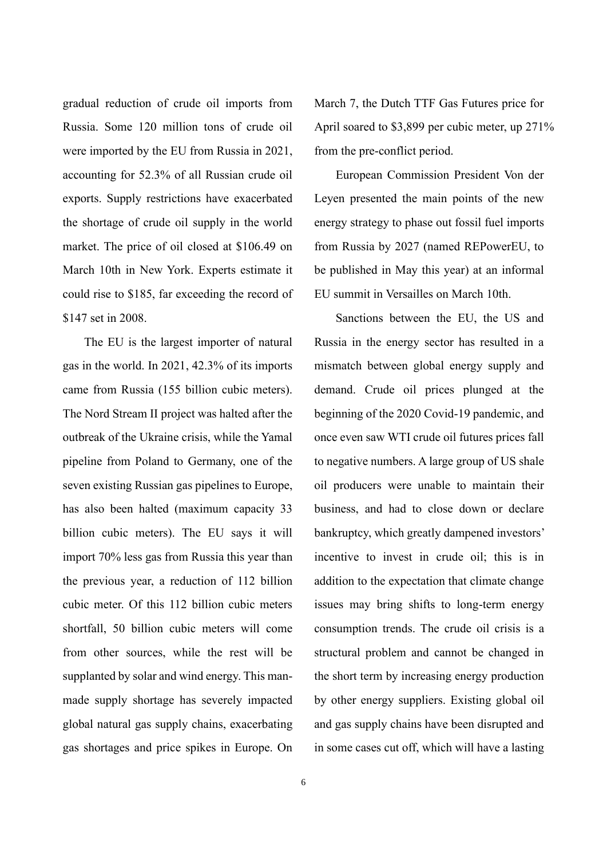gradual reduction of crude oil imports from Russia. Some 120 million tons of crude oil were imported by the EU from Russia in 2021, accounting for 52.3% of all Russian crude oil exports. Supply restrictions have exacerbated the shortage of crude oil supply in the world market. The price of oil closed at \$106.49 on March 10th in New York. Experts estimate it could rise to \$185, far exceeding the record of \$147 set in 2008.

The EU is the largest importer of natural gas in the world. In 2021, 42.3% of its imports came from Russia (155 billion cubic meters). The Nord Stream II project was halted after the outbreak of the Ukraine crisis, while the Yamal pipeline from Poland to Germany, one of the seven existing Russian gas pipelines to Europe, has also been halted (maximum capacity 33 billion cubic meters). The EU says it will import 70% less gas from Russia this year than the previous year, a reduction of 112 billion cubic meter. Of this 112 billion cubic meters shortfall, 50 billion cubic meters will come from other sources, while the rest will be supplanted by solar and wind energy. This manmade supply shortage has severely impacted global natural gas supply chains, exacerbating gas shortages and price spikes in Europe. On

March 7, the Dutch TTF Gas Futures price for April soared to \$3,899 per cubic meter, up 271% from the pre-conflict period.

European Commission President Von der Leyen presented the main points of the new energy strategy to phase out fossil fuel imports from Russia by 2027 (named REPowerEU, to be published in May this year) at an informal EU summit in Versailles on March 10th.

Sanctions between the EU, the US and Russia in the energy sector has resulted in a mismatch between global energy supply and demand. Crude oil prices plunged at the beginning of the 2020 Covid-19 pandemic, and once even saw WTI crude oil futures prices fall to negative numbers. A large group of US shale oil producers were unable to maintain their business, and had to close down or declare bankruptcy, which greatly dampened investors' incentive to invest in crude oil; this is in addition to the expectation that climate change issues may bring shifts to long-term energy consumption trends. The crude oil crisis is a structural problem and cannot be changed in the short term by increasing energy production by other energy suppliers. Existing global oil and gas supply chains have been disrupted and in some cases cut off, which will have a lasting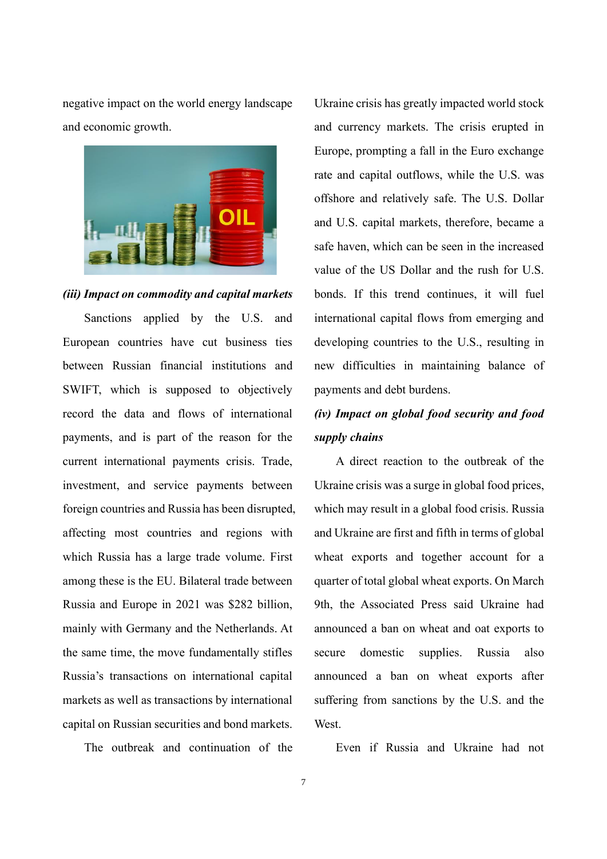negative impact on the world energy landscape and economic growth.



#### *(iii) Impact on commodity and capital markets*

Sanctions applied by the U.S. and European countries have cut business ties between Russian financial institutions and SWIFT, which is supposed to objectively record the data and flows of international payments, and is part of the reason for the current international payments crisis. Trade, investment, and service payments between foreign countries and Russia has been disrupted, affecting most countries and regions with which Russia has a large trade volume. First among these is the EU. Bilateral trade between Russia and Europe in 2021 was \$282 billion, mainly with Germany and the Netherlands. At the same time, the move fundamentally stifles Russia's transactions on international capital markets as well as transactions by international capital on Russian securities and bond markets.

The outbreak and continuation of the

Ukraine crisis has greatly impacted world stock and currency markets. The crisis erupted in Europe, prompting a fall in the Euro exchange rate and capital outflows, while the U.S. was offshore and relatively safe. The U.S. Dollar and U.S. capital markets, therefore, became a safe haven, which can be seen in the increased value of the US Dollar and the rush for U.S. bonds. If this trend continues, it will fuel international capital flows from emerging and developing countries to the U.S., resulting in new difficulties in maintaining balance of payments and debt burdens.

### *(iv) Impact on global food security and food supply chains*

A direct reaction to the outbreak of the Ukraine crisis was a surge in global food prices, which may result in a global food crisis. Russia and Ukraine are first and fifth in terms of global wheat exports and together account for a quarter of total global wheat exports. On March 9th, the Associated Press said Ukraine had announced a ban on wheat and oat exports to secure domestic supplies. Russia also announced a ban on wheat exports after suffering from sanctions by the U.S. and the West.

Even if Russia and Ukraine had not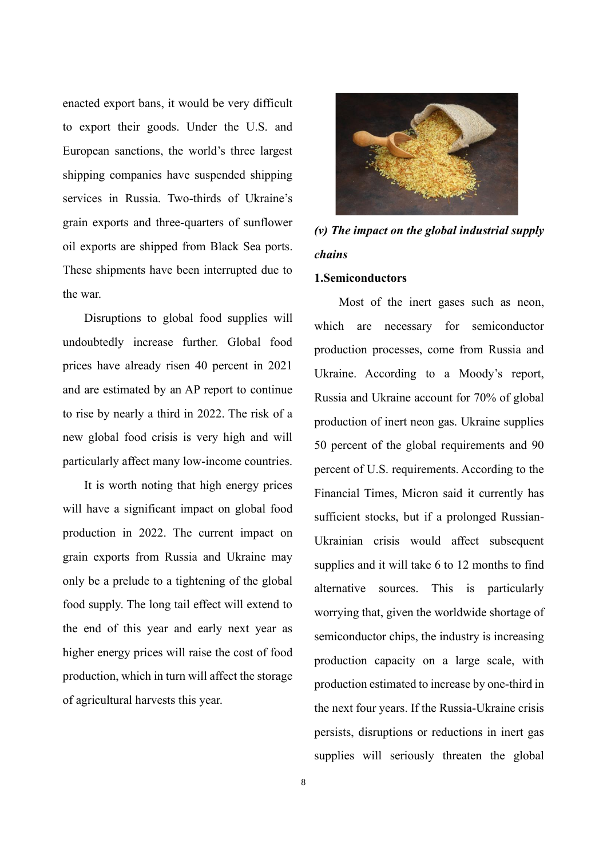enacted export bans, it would be very difficult to export their goods. Under the U.S. and European sanctions, the world's three largest shipping companies have suspended shipping services in Russia. Two-thirds of Ukraine's grain exports and three-quarters of sunflower oil exports are shipped from Black Sea ports. These shipments have been interrupted due to the war.

Disruptions to global food supplies will undoubtedly increase further. Global food prices have already risen 40 percent in 2021 and are estimated by an AP report to continue to rise by nearly a third in 2022. The risk of a new global food crisis is very high and will particularly affect many low-income countries.

It is worth noting that high energy prices will have a significant impact on global food production in 2022. The current impact on grain exports from Russia and Ukraine may only be a prelude to a tightening of the global food supply. The long tail effect will extend to the end of this year and early next year as higher energy prices will raise the cost of food production, which in turn will affect the storage of agricultural harvests this year.



*(v) The impact on the global industrial supply chains*

#### **1.Semiconductors**

Most of the inert gases such as neon, which are necessary for semiconductor production processes, come from Russia and Ukraine. According to a Moody's report, Russia and Ukraine account for 70% of global production of inert neon gas. Ukraine supplies 50 percent of the global requirements and 90 percent of U.S. requirements. According to the Financial Times, Micron said it currently has sufficient stocks, but if a prolonged Russian-Ukrainian crisis would affect subsequent supplies and it will take 6 to 12 months to find alternative sources. This is particularly worrying that, given the worldwide shortage of semiconductor chips, the industry is increasing production capacity on a large scale, with production estimated to increase by one-third in the next four years. If the Russia-Ukraine crisis persists, disruptions or reductions in inert gas supplies will seriously threaten the global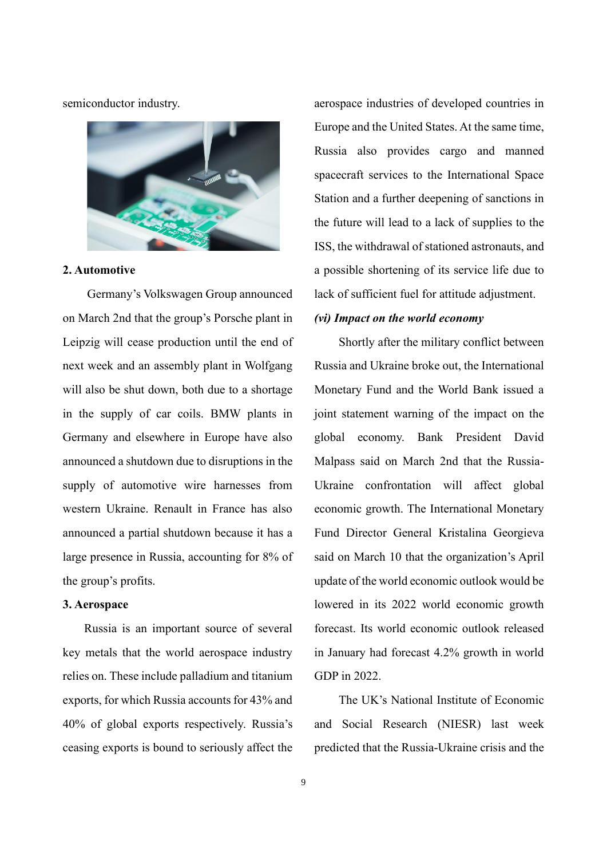semiconductor industry.



#### **2. Automotive**

Germany's Volkswagen Group announced on March 2nd that the group's Porsche plant in Leipzig will cease production until the end of next week and an assembly plant in Wolfgang will also be shut down, both due to a shortage in the supply of car coils. BMW plants in Germany and elsewhere in Europe have also announced a shutdown due to disruptions in the supply of automotive wire harnesses from western Ukraine. Renault in France has also announced a partial shutdown because it has a large presence in Russia, accounting for 8% of the group's profits.

#### **3. Aerospace**

Russia is an important source of several key metals that the world aerospace industry relies on. These include palladium and titanium exports, for which Russia accounts for 43% and 40% of global exports respectively. Russia's ceasing exports is bound to seriously affect the aerospace industries of developed countries in Europe and the United States. At the same time, Russia also provides cargo and manned spacecraft services to the International Space Station and a further deepening of sanctions in the future will lead to a lack of supplies to the ISS, the withdrawal of stationed astronauts, and a possible shortening of its service life due to lack of sufficient fuel for attitude adjustment.

#### *(vi) Impact on the world economy*

Shortly after the military conflict between Russia and Ukraine broke out, the International Monetary Fund and the World Bank issued a joint statement warning of the impact on the global economy. Bank President David Malpass said on March 2nd that the Russia-Ukraine confrontation will affect global economic growth. The International Monetary Fund Director General Kristalina Georgieva said on March 10 that the organization's April update of the world economic outlook would be lowered in its 2022 world economic growth forecast. Its world economic outlook released in January had forecast 4.2% growth in world GDP in 2022.

The UK's National Institute of Economic and Social Research (NIESR) last week predicted that the Russia-Ukraine crisis and the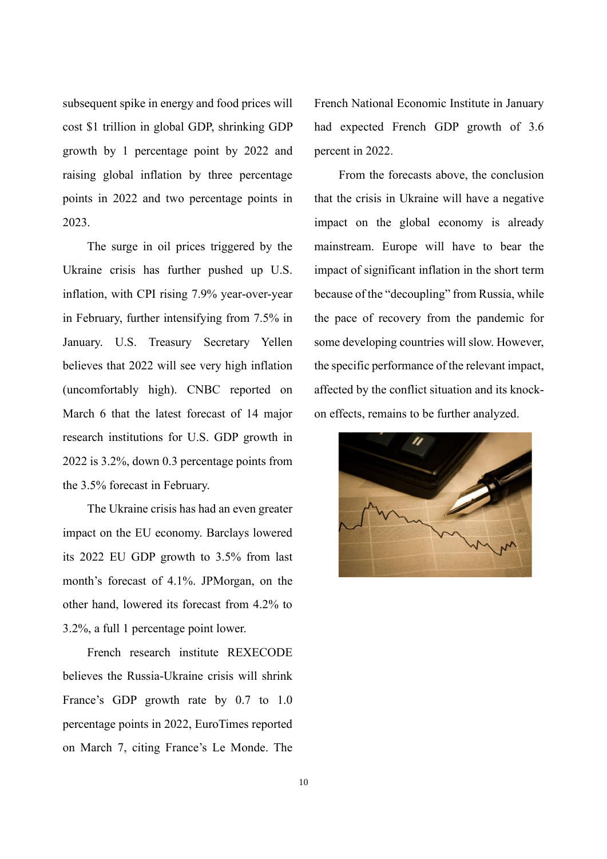subsequent spike in energy and food prices will cost \$1 trillion in global GDP, shrinking GDP growth by 1 percentage point by 2022 and raising global inflation by three percentage points in 2022 and two percentage points in 2023.

The surge in oil prices triggered by the Ukraine crisis has further pushed up U.S. inflation, with CPI rising 7.9% year-over-year in February, further intensifying from 7.5% in January. U.S. Treasury Secretary Yellen believes that 2022 will see very high inflation (uncomfortably high). CNBC reported on March 6 that the latest forecast of 14 major research institutions for U.S. GDP growth in 2022 is 3.2%, down 0.3 percentage points from the 3.5% forecast in February.

The Ukraine crisis has had an even greater impact on the EU economy. Barclays lowered its 2022 EU GDP growth to 3.5% from last month's forecast of 4.1%. JPMorgan, on the other hand, lowered its forecast from 4.2% to 3.2%, a full 1 percentage point lower.

French research institute REXECODE believes the Russia-Ukraine crisis will shrink France's GDP growth rate by 0.7 to 1.0 percentage points in 2022, EuroTimes reported on March 7, citing France's Le Monde. The French National Economic Institute in January had expected French GDP growth of 3.6 percent in 2022.

From the forecasts above, the conclusion that the crisis in Ukraine will have a negative impact on the global economy is already mainstream. Europe will have to bear the impact of significant inflation in the short term because of the "decoupling" from Russia, while the pace of recovery from the pandemic for some developing countries will slow. However, the specific performance of the relevant impact, affected by the conflict situation and its knockon effects, remains to be further analyzed.

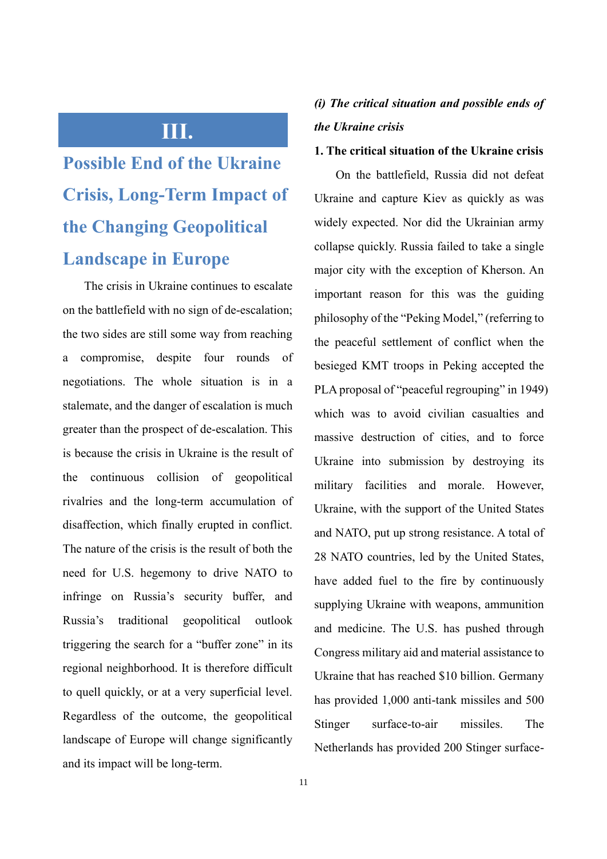### **III.**

## **Possible End of the Ukraine Crisis, Long-Term Impact of the Changing Geopolitical Landscape in Europe**

The crisis in Ukraine continues to escalate on the battlefield with no sign of de-escalation; the two sides are still some way from reaching a compromise, despite four rounds of negotiations. The whole situation is in a stalemate, and the danger of escalation is much greater than the prospect of de-escalation. This is because the crisis in Ukraine is the result of the continuous collision of geopolitical rivalries and the long-term accumulation of disaffection, which finally erupted in conflict. The nature of the crisis is the result of both the need for U.S. hegemony to drive NATO to infringe on Russia's security buffer, and Russia's traditional geopolitical outlook triggering the search for a "buffer zone" in its regional neighborhood. It is therefore difficult to quell quickly, or at a very superficial level. Regardless of the outcome, the geopolitical landscape of Europe will change significantly and its impact will be long-term.

### *(i) The critical situation and possible ends of the Ukraine crisis*

### **1. The critical situation of the Ukraine crisis**

On the battlefield, Russia did not defeat Ukraine and capture Kiev as quickly as was widely expected. Nor did the Ukrainian army collapse quickly. Russia failed to take a single major city with the exception of Kherson. An important reason for this was the guiding philosophy of the "Peking Model," (referring to the peaceful settlement of conflict when the besieged KMT troops in Peking accepted the PLA proposal of "peaceful regrouping" in 1949) which was to avoid civilian casualties and massive destruction of cities, and to force Ukraine into submission by destroying its military facilities and morale. However, Ukraine, with the support of the United States and NATO, put up strong resistance. A total of 28 NATO countries, led by the United States, have added fuel to the fire by continuously supplying Ukraine with weapons, ammunition and medicine. The U.S. has pushed through Congress military aid and material assistance to Ukraine that has reached \$10 billion. Germany has provided 1,000 anti-tank missiles and 500 Stinger surface-to-air missiles. The Netherlands has provided 200 Stinger surface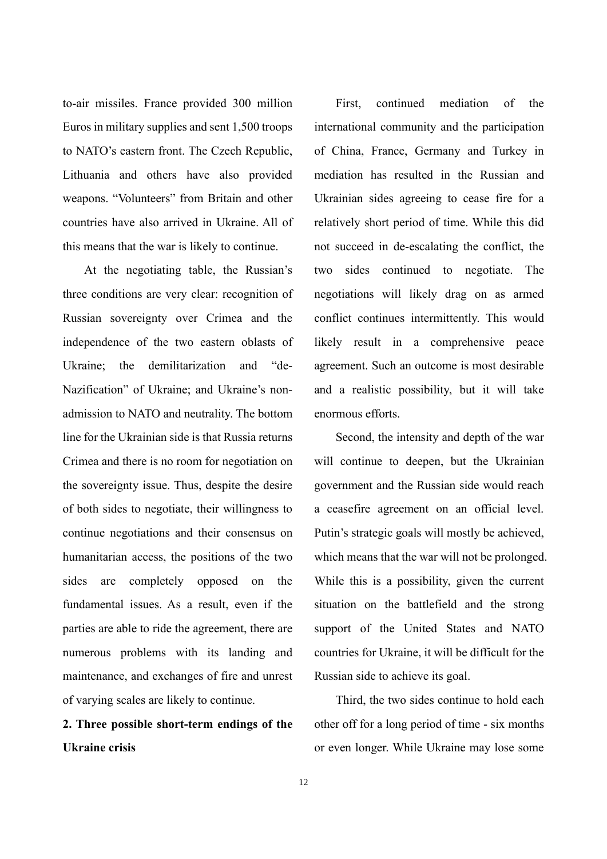to-air missiles. France provided 300 million Euros in military supplies and sent 1,500 troops to NATO's eastern front. The Czech Republic, Lithuania and others have also provided weapons. "Volunteers" from Britain and other countries have also arrived in Ukraine. All of this means that the war is likely to continue.

At the negotiating table, the Russian's three conditions are very clear: recognition of Russian sovereignty over Crimea and the independence of the two eastern oblasts of Ukraine; the demilitarization and "de-Nazification" of Ukraine; and Ukraine's nonadmission to NATO and neutrality. The bottom line for the Ukrainian side is that Russia returns Crimea and there is no room for negotiation on the sovereignty issue. Thus, despite the desire of both sides to negotiate, their willingness to continue negotiations and their consensus on humanitarian access, the positions of the two sides are completely opposed on the fundamental issues. As a result, even if the parties are able to ride the agreement, there are numerous problems with its landing and maintenance, and exchanges of fire and unrest of varying scales are likely to continue.

### **2. Three possible short-term endings of the Ukraine crisis**

First, continued mediation of the international community and the participation of China, France, Germany and Turkey in mediation has resulted in the Russian and Ukrainian sides agreeing to cease fire for a relatively short period of time. While this did not succeed in de-escalating the conflict, the two sides continued to negotiate. The negotiations will likely drag on as armed conflict continues intermittently. This would likely result in a comprehensive peace agreement. Such an outcome is most desirable and a realistic possibility, but it will take enormous efforts.

Second, the intensity and depth of the war will continue to deepen, but the Ukrainian government and the Russian side would reach a ceasefire agreement on an official level. Putin's strategic goals will mostly be achieved, which means that the war will not be prolonged. While this is a possibility, given the current situation on the battlefield and the strong support of the United States and NATO countries for Ukraine, it will be difficult for the Russian side to achieve its goal.

Third, the two sides continue to hold each other off for a long period of time - six months or even longer. While Ukraine may lose some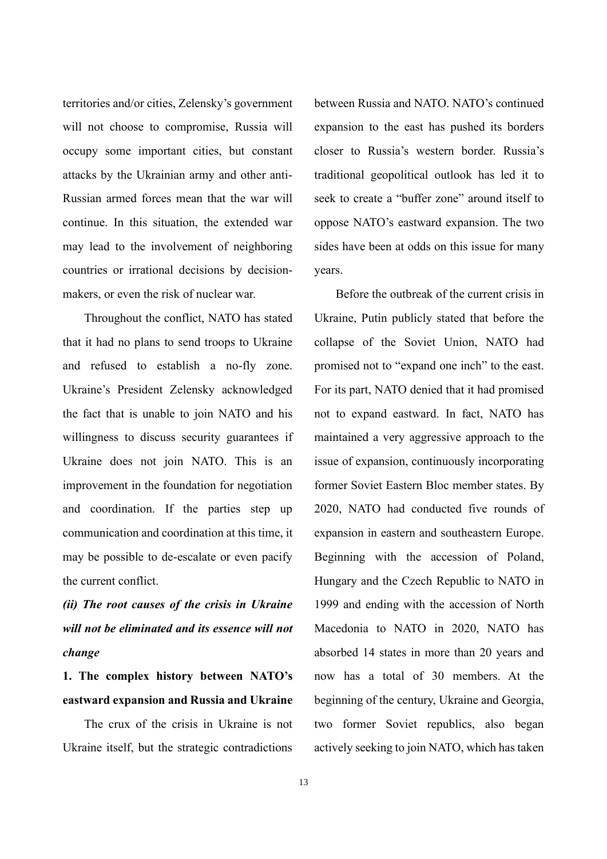territories and/or cities, Zelensky's government will not choose to compromise, Russia will occupy some important cities, but constant attacks by the Ukrainian army and other anti-Russian armed forces mean that the war will continue. In this situation, the extended war may lead to the involvement of neighboring countries or irrational decisions by decisionmakers, or even the risk of nuclear war.

Throughout the conflict, NATO has stated that it had no plans to send troops to Ukraine and refused to establish a no-fly zone. Ukraine's President Zelensky acknowledged the fact that is unable to join NATO and his willingness to discuss security guarantees if Ukraine does not join NATO. This is an improvement in the foundation for negotiation and coordination. If the parties step up communication and coordination at this time, it may be possible to de-escalate or even pacify the current conflict.

*(ii) The root causes of the crisis in Ukraine will not be eliminated and its essence will not change*

**1. The complex history between NATO's eastward expansion and Russia and Ukraine**

The crux of the crisis in Ukraine is not Ukraine itself, but the strategic contradictions

between Russia and NATO. NATO's continued expansion to the east has pushed its borders closer to Russia's western border. Russia's traditional geopolitical outlook has led it to seek to create a "buffer zone" around itself to oppose NATO's eastward expansion. The two sides have been at odds on this issue for many years.

Before the outbreak of the current crisis in Ukraine, Putin publicly stated that before the collapse of the Soviet Union, NATO had promised not to "expand one inch" to the east. For its part, NATO denied that it had promised not to expand eastward. In fact, NATO has maintained a very aggressive approach to the issue of expansion, continuously incorporating former Soviet Eastern Bloc member states. By 2020, NATO had conducted five rounds of expansion in eastern and southeastern Europe. Beginning with the accession of Poland, Hungary and the Czech Republic to NATO in 1999 and ending with the accession of North Macedonia to NATO in 2020, NATO has absorbed 14 states in more than 20 years and now has a total of 30 members. At the beginning of the century, Ukraine and Georgia, two former Soviet republics, also began actively seeking to join NATO, which has taken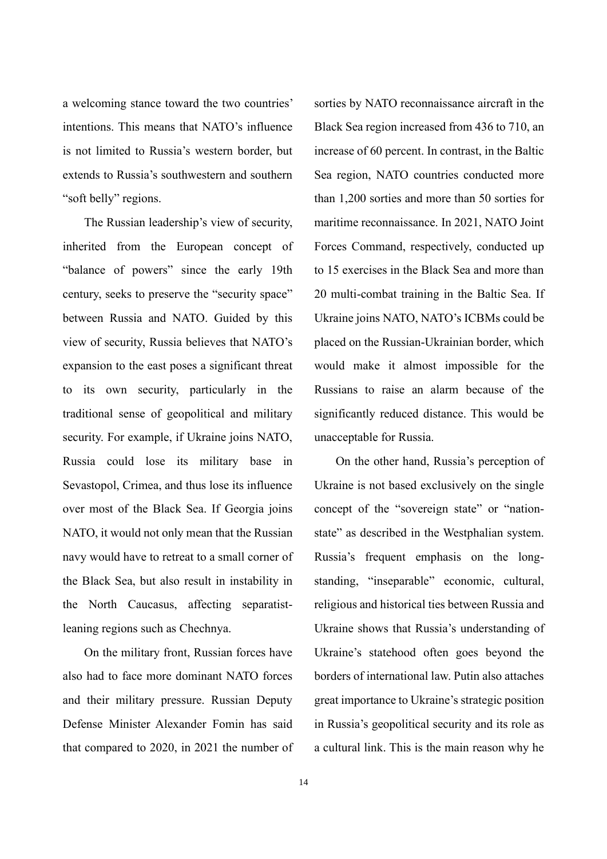a welcoming stance toward the two countries' intentions. This means that NATO's influence is not limited to Russia's western border, but extends to Russia's southwestern and southern "soft belly" regions.

The Russian leadership's view of security, inherited from the European concept of "balance of powers" since the early 19th century, seeks to preserve the "security space" between Russia and NATO. Guided by this view of security, Russia believes that NATO's expansion to the east poses a significant threat to its own security, particularly in the traditional sense of geopolitical and military security. For example, if Ukraine joins NATO, Russia could lose its military base in Sevastopol, Crimea, and thus lose its influence over most of the Black Sea. If Georgia joins NATO, it would not only mean that the Russian navy would have to retreat to a small corner of the Black Sea, but also result in instability in the North Caucasus, affecting separatistleaning regions such as Chechnya.

On the military front, Russian forces have also had to face more dominant NATO forces and their military pressure. Russian Deputy Defense Minister Alexander Fomin has said that compared to 2020, in 2021 the number of sorties by NATO reconnaissance aircraft in the Black Sea region increased from 436 to 710, an increase of 60 percent. In contrast, in the Baltic Sea region, NATO countries conducted more than 1,200 sorties and more than 50 sorties for maritime reconnaissance. In 2021, NATO Joint Forces Command, respectively, conducted up to 15 exercises in the Black Sea and more than 20 multi-combat training in the Baltic Sea. If Ukraine joins NATO, NATO's ICBMs could be placed on the Russian-Ukrainian border, which would make it almost impossible for the Russians to raise an alarm because of the significantly reduced distance. This would be unacceptable for Russia.

On the other hand, Russia's perception of Ukraine is not based exclusively on the single concept of the "sovereign state" or "nationstate" as described in the Westphalian system. Russia's frequent emphasis on the longstanding, "inseparable" economic, cultural, religious and historical ties between Russia and Ukraine shows that Russia's understanding of Ukraine's statehood often goes beyond the borders of international law. Putin also attaches great importance to Ukraine's strategic position in Russia's geopolitical security and its role as a cultural link. This is the main reason why he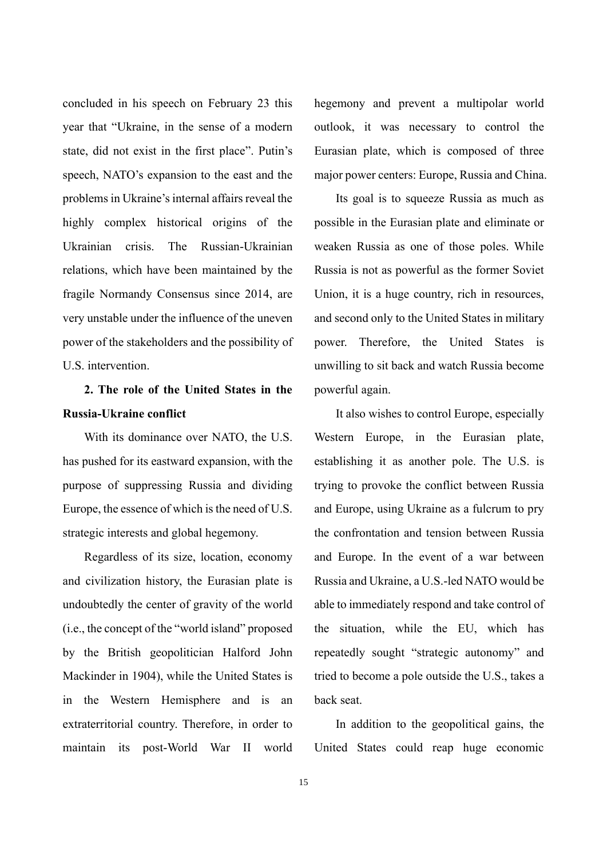concluded in his speech on February 23 this year that "Ukraine, in the sense of a modern state, did not exist in the first place". Putin's speech, NATO's expansion to the east and the problems in Ukraine's internal affairs reveal the highly complex historical origins of the Ukrainian crisis. The Russian-Ukrainian relations, which have been maintained by the fragile Normandy Consensus since 2014, are very unstable under the influence of the uneven power of the stakeholders and the possibility of U.S. intervention.

### **2. The role of the United States in the Russia-Ukraine conflict**

With its dominance over NATO, the U.S. has pushed for its eastward expansion, with the purpose of suppressing Russia and dividing Europe, the essence of which is the need of U.S. strategic interests and global hegemony.

Regardless of its size, location, economy and civilization history, the Eurasian plate is undoubtedly the center of gravity of the world (i.e., the concept of the "world island" proposed by the British geopolitician Halford John Mackinder in 1904), while the United States is in the Western Hemisphere and is an extraterritorial country. Therefore, in order to maintain its post-World War II world

hegemony and prevent a multipolar world outlook, it was necessary to control the Eurasian plate, which is composed of three major power centers: Europe, Russia and China.

Its goal is to squeeze Russia as much as possible in the Eurasian plate and eliminate or weaken Russia as one of those poles. While Russia is not as powerful as the former Soviet Union, it is a huge country, rich in resources, and second only to the United States in military power. Therefore, the United States is unwilling to sit back and watch Russia become powerful again.

It also wishes to control Europe, especially Western Europe, in the Eurasian plate, establishing it as another pole. The U.S. is trying to provoke the conflict between Russia and Europe, using Ukraine as a fulcrum to pry the confrontation and tension between Russia and Europe. In the event of a war between Russia and Ukraine, a U.S.-led NATO would be able to immediately respond and take control of the situation, while the EU, which has repeatedly sought "strategic autonomy" and tried to become a pole outside the U.S., takes a back seat.

In addition to the geopolitical gains, the United States could reap huge economic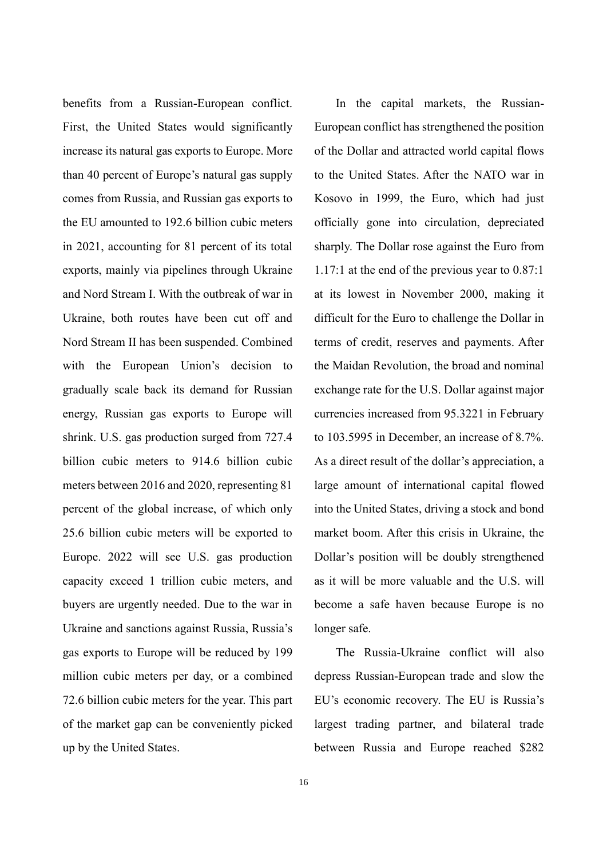benefits from a Russian-European conflict. First, the United States would significantly increase its natural gas exports to Europe. More than 40 percent of Europe's natural gas supply comes from Russia, and Russian gas exports to the EU amounted to 192.6 billion cubic meters in 2021, accounting for 81 percent of its total exports, mainly via pipelines through Ukraine and Nord Stream I. With the outbreak of war in Ukraine, both routes have been cut off and Nord Stream II has been suspended. Combined with the European Union's decision to gradually scale back its demand for Russian energy, Russian gas exports to Europe will shrink. U.S. gas production surged from 727.4 billion cubic meters to 914.6 billion cubic meters between 2016 and 2020, representing 81 percent of the global increase, of which only 25.6 billion cubic meters will be exported to Europe. 2022 will see U.S. gas production capacity exceed 1 trillion cubic meters, and buyers are urgently needed. Due to the war in Ukraine and sanctions against Russia, Russia's gas exports to Europe will be reduced by 199 million cubic meters per day, or a combined 72.6 billion cubic meters for the year. This part of the market gap can be conveniently picked up by the United States.

16

In the capital markets, the Russian-European conflict has strengthened the position of the Dollar and attracted world capital flows to the United States. After the NATO war in Kosovo in 1999, the Euro, which had just officially gone into circulation, depreciated sharply. The Dollar rose against the Euro from 1.17:1 at the end of the previous year to 0.87:1 at its lowest in November 2000, making it difficult for the Euro to challenge the Dollar in terms of credit, reserves and payments. After the Maidan Revolution, the broad and nominal exchange rate for the U.S. Dollar against major currencies increased from 95.3221 in February to 103.5995 in December, an increase of 8.7%. As a direct result of the dollar's appreciation, a large amount of international capital flowed into the United States, driving a stock and bond market boom. After this crisis in Ukraine, the Dollar's position will be doubly strengthened as it will be more valuable and the U.S. will become a safe haven because Europe is no longer safe.

The Russia-Ukraine conflict will also depress Russian-European trade and slow the EU's economic recovery. The EU is Russia's largest trading partner, and bilateral trade between Russia and Europe reached \$282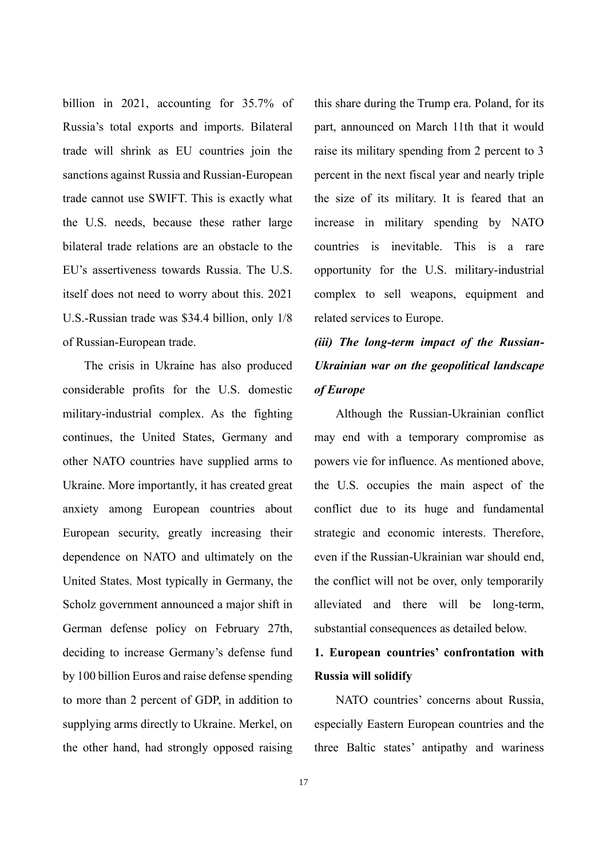billion in 2021, accounting for 35.7% of Russia's total exports and imports. Bilateral trade will shrink as EU countries join the sanctions against Russia and Russian-European trade cannot use SWIFT. This is exactly what the U.S. needs, because these rather large bilateral trade relations are an obstacle to the EU's assertiveness towards Russia. The U.S. itself does not need to worry about this. 2021 U.S.-Russian trade was \$34.4 billion, only 1/8 of Russian-European trade.

The crisis in Ukraine has also produced considerable profits for the U.S. domestic military-industrial complex. As the fighting continues, the United States, Germany and other NATO countries have supplied arms to Ukraine. More importantly, it has created great anxiety among European countries about European security, greatly increasing their dependence on NATO and ultimately on the United States. Most typically in Germany, the Scholz government announced a major shift in German defense policy on February 27th, deciding to increase Germany's defense fund by 100 billion Euros and raise defense spending to more than 2 percent of GDP, in addition to supplying arms directly to Ukraine. Merkel, on the other hand, had strongly opposed raising

this share during the Trump era. Poland, for its part, announced on March 11th that it would raise its military spending from 2 percent to 3 percent in the next fiscal year and nearly triple the size of its military. It is feared that an increase in military spending by NATO countries is inevitable. This is a rare opportunity for the U.S. military-industrial complex to sell weapons, equipment and related services to Europe.

### *(iii) The long-term impact of the Russian-Ukrainian war on the geopolitical landscape of Europe*

Although the Russian-Ukrainian conflict may end with a temporary compromise as powers vie for influence. As mentioned above, the U.S. occupies the main aspect of the conflict due to its huge and fundamental strategic and economic interests. Therefore, even if the Russian-Ukrainian war should end, the conflict will not be over, only temporarily alleviated and there will be long-term, substantial consequences as detailed below.

### **1. European countries' confrontation with Russia will solidify**

NATO countries' concerns about Russia, especially Eastern European countries and the three Baltic states' antipathy and wariness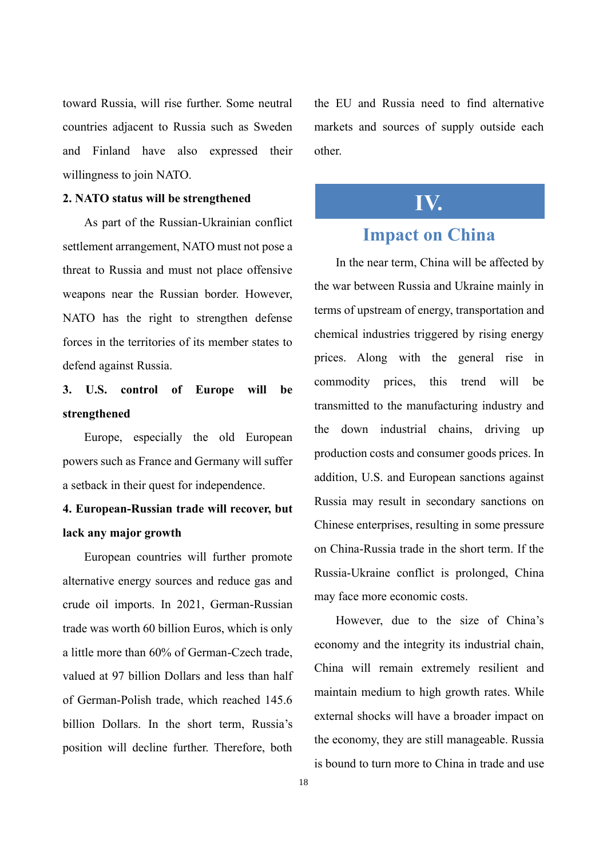toward Russia, will rise further. Some neutral countries adjacent to Russia such as Sweden and Finland have also expressed their willingness to join NATO.

#### **2. NATO status will be strengthened**

As part of the Russian-Ukrainian conflict settlement arrangement, NATO must not pose a threat to Russia and must not place offensive weapons near the Russian border. However, NATO has the right to strengthen defense forces in the territories of its member states to defend against Russia.

### **3. U.S. control of Europe will be strengthened**

Europe, especially the old European powers such as France and Germany will suffer a setback in their quest for independence.

### **4. European-Russian trade will recover, but lack any major growth**

European countries will further promote alternative energy sources and reduce gas and crude oil imports. In 2021, German-Russian trade was worth 60 billion Euros, which is only a little more than 60% of German-Czech trade, valued at 97 billion Dollars and less than half of German-Polish trade, which reached 145.6 billion Dollars. In the short term, Russia's position will decline further. Therefore, both

the EU and Russia need to find alternative markets and sources of supply outside each other.

### **IV.**

### **Impact on China**

In the near term, China will be affected by the war between Russia and Ukraine mainly in terms of upstream of energy, transportation and chemical industries triggered by rising energy prices. Along with the general rise in commodity prices, this trend will be transmitted to the manufacturing industry and the down industrial chains, driving up production costs and consumer goods prices. In addition, U.S. and European sanctions against Russia may result in secondary sanctions on Chinese enterprises, resulting in some pressure on China-Russia trade in the short term. If the Russia-Ukraine conflict is prolonged, China may face more economic costs.

However, due to the size of China's economy and the integrity its industrial chain, China will remain extremely resilient and maintain medium to high growth rates. While external shocks will have a broader impact on the economy, they are still manageable. Russia is bound to turn more to China in trade and use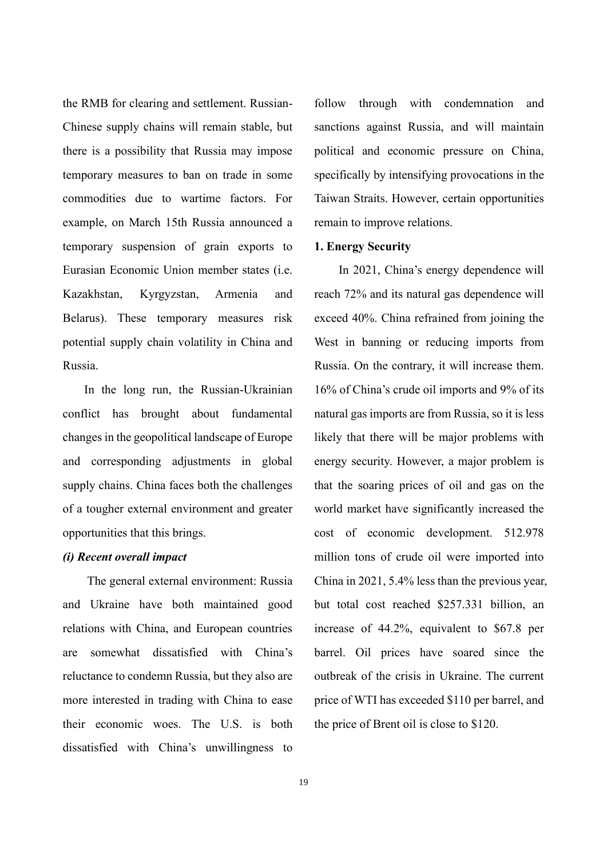the RMB for clearing and settlement. Russian-Chinese supply chains will remain stable, but there is a possibility that Russia may impose temporary measures to ban on trade in some commodities due to wartime factors. For example, on March 15th Russia announced a temporary suspension of grain exports to Eurasian Economic Union member states (i.e. Kazakhstan, Kyrgyzstan, Armenia and Belarus). These temporary measures risk potential supply chain volatility in China and Russia.

In the long run, the Russian-Ukrainian conflict has brought about fundamental changes in the geopolitical landscape of Europe and corresponding adjustments in global supply chains. China faces both the challenges of a tougher external environment and greater opportunities that this brings.

#### *(i) Recent overall impact*

The general external environment: Russia and Ukraine have both maintained good relations with China, and European countries are somewhat dissatisfied with China's reluctance to condemn Russia, but they also are more interested in trading with China to ease their economic woes. The U.S. is both dissatisfied with China's unwillingness to

follow through with condemnation and sanctions against Russia, and will maintain political and economic pressure on China, specifically by intensifying provocations in the Taiwan Straits. However, certain opportunities remain to improve relations.

#### **1. Energy Security**

In 2021, China's energy dependence will reach 72% and its natural gas dependence will exceed 40%. China refrained from joining the West in banning or reducing imports from Russia. On the contrary, it will increase them. 16% of China's crude oil imports and 9% of its natural gas imports are from Russia, so it is less likely that there will be major problems with energy security. However, a major problem is that the soaring prices of oil and gas on the world market have significantly increased the cost of economic development. 512.978 million tons of crude oil were imported into China in 2021, 5.4% less than the previous year, but total cost reached \$257.331 billion, an increase of 44.2%, equivalent to \$67.8 per barrel. Oil prices have soared since the outbreak of the crisis in Ukraine. The current price of WTI has exceeded \$110 per barrel, and the price of Brent oil is close to \$120.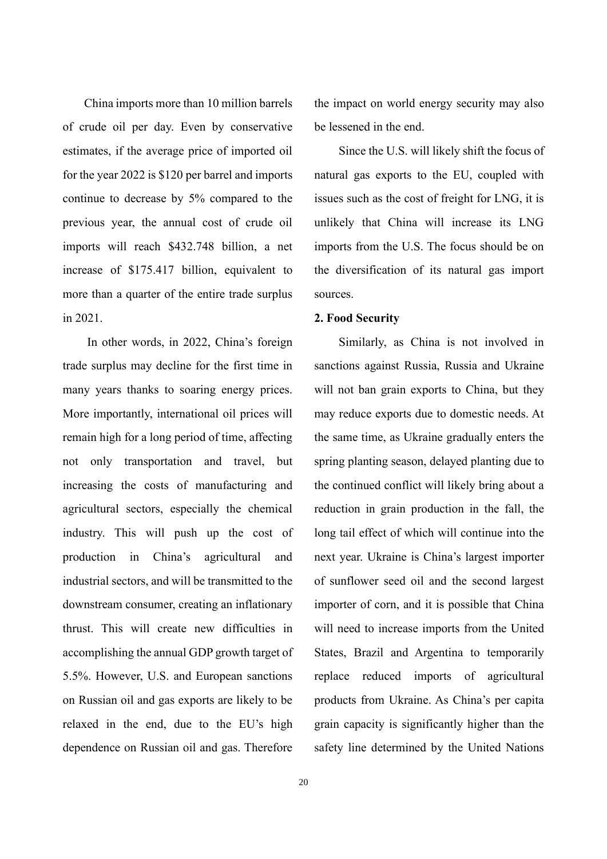China imports more than 10 million barrels of crude oil per day. Even by conservative estimates, if the average price of imported oil for the year 2022 is \$120 per barrel and imports continue to decrease by 5% compared to the previous year, the annual cost of crude oil imports will reach \$432.748 billion, a net increase of \$175.417 billion, equivalent to more than a quarter of the entire trade surplus in 2021.

In other words, in 2022, China's foreign trade surplus may decline for the first time in many years thanks to soaring energy prices. More importantly, international oil prices will remain high for a long period of time, affecting not only transportation and travel, but increasing the costs of manufacturing and agricultural sectors, especially the chemical industry. This will push up the cost of production in China's agricultural and industrial sectors, and will be transmitted to the downstream consumer, creating an inflationary thrust. This will create new difficulties in accomplishing the annual GDP growth target of 5.5%. However, U.S. and European sanctions on Russian oil and gas exports are likely to be relaxed in the end, due to the EU's high dependence on Russian oil and gas. Therefore

the impact on world energy security may also be lessened in the end.

Since the U.S. will likely shift the focus of natural gas exports to the EU, coupled with issues such as the cost of freight for LNG, it is unlikely that China will increase its LNG imports from the U.S. The focus should be on the diversification of its natural gas import sources.

#### **2. Food Security**

Similarly, as China is not involved in sanctions against Russia, Russia and Ukraine will not ban grain exports to China, but they may reduce exports due to domestic needs. At the same time, as Ukraine gradually enters the spring planting season, delayed planting due to the continued conflict will likely bring about a reduction in grain production in the fall, the long tail effect of which will continue into the next year. Ukraine is China's largest importer of sunflower seed oil and the second largest importer of corn, and it is possible that China will need to increase imports from the United States, Brazil and Argentina to temporarily replace reduced imports of agricultural products from Ukraine. As China's per capita grain capacity is significantly higher than the safety line determined by the United Nations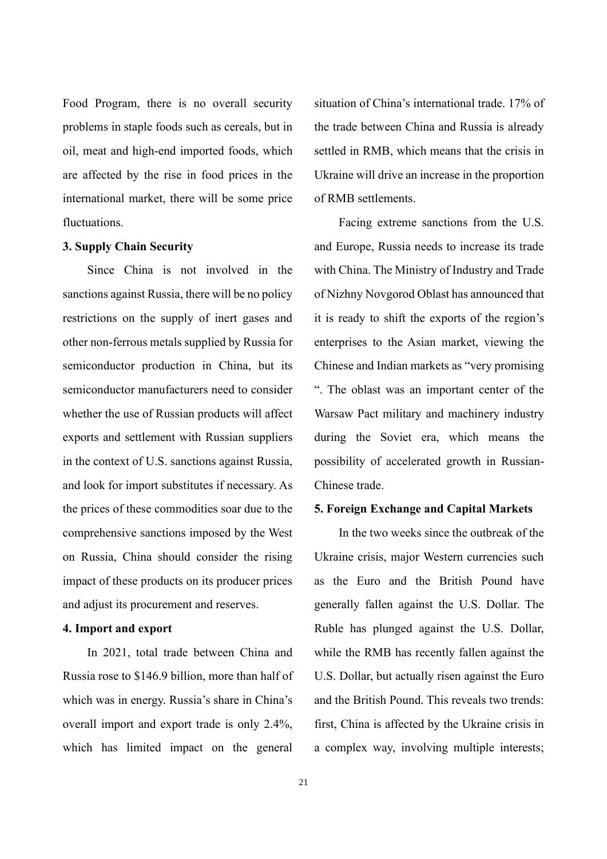Food Program, there is no overall security problems in staple foods such as cereals, but in oil, meat and high-end imported foods, which are affected by the rise in food prices in the international market, there will be some price fluctuations.

#### **3. Supply Chain Security**

Since China is not involved in the sanctions against Russia, there will be no policy restrictions on the supply of inert gases and other non-ferrous metals supplied by Russia for semiconductor production in China, but its semiconductor manufacturers need to consider whether the use of Russian products will affect exports and settlement with Russian suppliers in the context of U.S. sanctions against Russia, and look for import substitutes if necessary. As the prices of these commodities soar due to the comprehensive sanctions imposed by the West on Russia, China should consider the rising impact of these products on its producer prices and adjust its procurement and reserves.

### **4. Import and export**

In 2021, total trade between China and Russia rose to \$146.9 billion, more than half of which was in energy. Russia's share in China's overall import and export trade is only 2.4%, which has limited impact on the general

situation of China's international trade. 17% of the trade between China and Russia is already settled in RMB, which means that the crisis in Ukraine will drive an increase in the proportion of RMB settlements.

Facing extreme sanctions from the U.S. and Europe, Russia needs to increase its trade with China. The Ministry of Industry and Trade of Nizhny Novgorod Oblast has announced that it is ready to shift the exports of the region's enterprises to the Asian market, viewing the Chinese and Indian markets as "very promising ". The oblast was an important center of the Warsaw Pact military and machinery industry during the Soviet era, which means the possibility of accelerated growth in Russian-Chinese trade.

#### **5. Foreign Exchange and Capital Markets**

In the two weeks since the outbreak of the Ukraine crisis, major Western currencies such as the Euro and the British Pound have generally fallen against the U.S. Dollar. The Ruble has plunged against the U.S. Dollar, while the RMB has recently fallen against the U.S. Dollar, but actually risen against the Euro and the British Pound. This reveals two trends: first, China is affected by the Ukraine crisis in a complex way, involving multiple interests;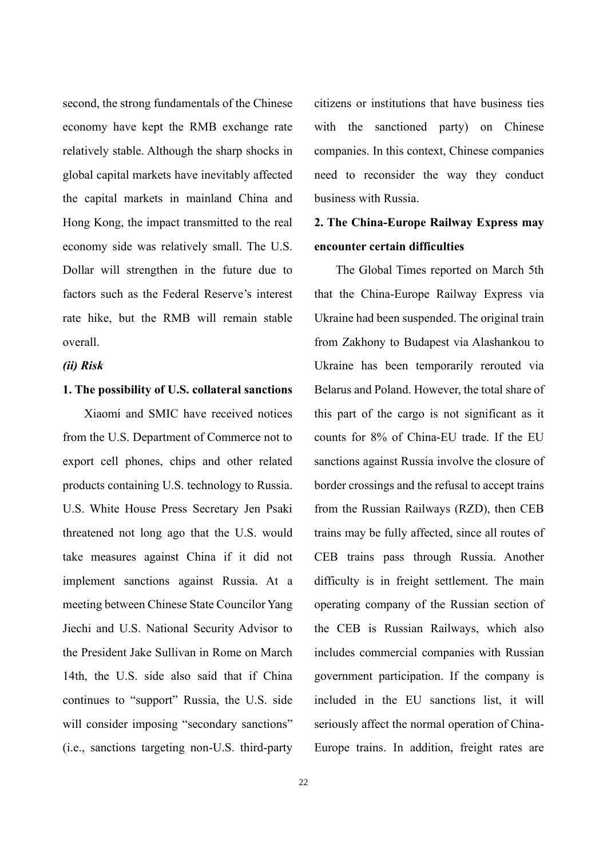second, the strong fundamentals of the Chinese economy have kept the RMB exchange rate relatively stable. Although the sharp shocks in global capital markets have inevitably affected the capital markets in mainland China and Hong Kong, the impact transmitted to the real economy side was relatively small. The U.S. Dollar will strengthen in the future due to factors such as the Federal Reserve's interest rate hike, but the RMB will remain stable overall.

*(ii) Risk*

#### **1. The possibility of U.S. collateral sanctions**

Xiaomi and SMIC have received notices from the U.S. Department of Commerce not to export cell phones, chips and other related products containing U.S. technology to Russia. U.S. White House Press Secretary Jen Psaki threatened not long ago that the U.S. would take measures against China if it did not implement sanctions against Russia. At a meeting between Chinese State Councilor Yang Jiechi and U.S. National Security Advisor to the President Jake Sullivan in Rome on March 14th, the U.S. side also said that if China continues to "support" Russia, the U.S. side will consider imposing "secondary sanctions" (i.e., sanctions targeting non-U.S. third-party

citizens or institutions that have business ties with the sanctioned party) on Chinese companies. In this context, Chinese companies need to reconsider the way they conduct business with Russia.

### **2. The China-Europe Railway Express may encounter certain difficulties**

The Global Times reported on March 5th that the China-Europe Railway Express via Ukraine had been suspended. The original train from Zakhony to Budapest via Alashankou to Ukraine has been temporarily rerouted via Belarus and Poland. However, the total share of this part of the cargo is not significant as it counts for 8% of China-EU trade. If the EU sanctions against Russia involve the closure of border crossings and the refusal to accept trains from the Russian Railways (RZD), then CEB trains may be fully affected, since all routes of CEB trains pass through Russia. Another difficulty is in freight settlement. The main operating company of the Russian section of the CEB is Russian Railways, which also includes commercial companies with Russian government participation. If the company is included in the EU sanctions list, it will seriously affect the normal operation of China-Europe trains. In addition, freight rates are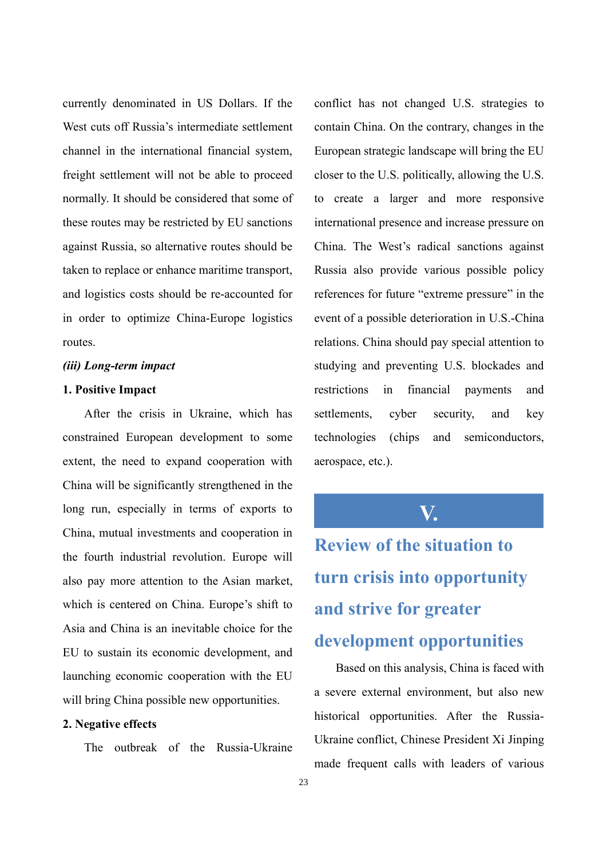currently denominated in US Dollars. If the West cuts off Russia's intermediate settlement channel in the international financial system, freight settlement will not be able to proceed normally. It should be considered that some of these routes may be restricted by EU sanctions against Russia, so alternative routes should be taken to replace or enhance maritime transport, and logistics costs should be re-accounted for in order to optimize China-Europe logistics routes.

#### *(iii) Long-term impact*

#### **1. Positive Impact**

After the crisis in Ukraine, which has constrained European development to some extent, the need to expand cooperation with China will be significantly strengthened in the long run, especially in terms of exports to China, mutual investments and cooperation in the fourth industrial revolution. Europe will also pay more attention to the Asian market, which is centered on China. Europe's shift to Asia and China is an inevitable choice for the EU to sustain its economic development, and launching economic cooperation with the EU will bring China possible new opportunities.

#### **2. Negative effects**

The outbreak of the Russia-Ukraine

conflict has not changed U.S. strategies to contain China. On the contrary, changes in the European strategic landscape will bring the EU closer to the U.S. politically, allowing the U.S. to create a larger and more responsive international presence and increase pressure on China. The West's radical sanctions against Russia also provide various possible policy references for future "extreme pressure" in the event of a possible deterioration in U.S.-China relations. China should pay special attention to studying and preventing U.S. blockades and restrictions in financial payments and settlements, cyber security, and key technologies (chips and semiconductors, aerospace, etc.).

**V.**

**Review of the situation to turn crisis into opportunity and strive for greater development opportunities**

Based on this analysis, China is faced with a severe external environment, but also new historical opportunities. After the Russia-Ukraine conflict, Chinese President Xi Jinping made frequent calls with leaders of various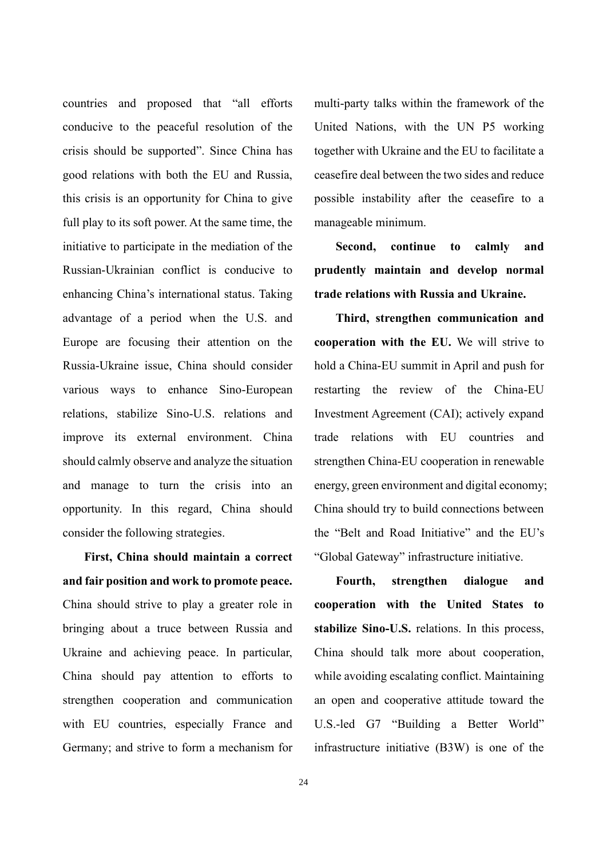countries and proposed that "all efforts conducive to the peaceful resolution of the crisis should be supported". Since China has good relations with both the EU and Russia, this crisis is an opportunity for China to give full play to its soft power. At the same time, the initiative to participate in the mediation of the Russian-Ukrainian conflict is conducive to enhancing China's international status. Taking advantage of a period when the U.S. and Europe are focusing their attention on the Russia-Ukraine issue, China should consider various ways to enhance Sino-European relations, stabilize Sino-U.S. relations and improve its external environment. China should calmly observe and analyze the situation and manage to turn the crisis into an opportunity. In this regard, China should consider the following strategies.

**First, China should maintain a correct and fair position and work to promote peace.** China should strive to play a greater role in bringing about a truce between Russia and Ukraine and achieving peace. In particular, China should pay attention to efforts to strengthen cooperation and communication with EU countries, especially France and Germany; and strive to form a mechanism for

multi-party talks within the framework of the United Nations, with the UN P5 working together with Ukraine and the EU to facilitate a ceasefire deal between the two sides and reduce possible instability after the ceasefire to a manageable minimum.

**Second, continue to calmly and prudently maintain and develop normal trade relations with Russia and Ukraine.** 

**Third, strengthen communication and cooperation with the EU.** We will strive to hold a China-EU summit in April and push for restarting the review of the China-EU Investment Agreement (CAI); actively expand trade relations with EU countries and strengthen China-EU cooperation in renewable energy, green environment and digital economy; China should try to build connections between the "Belt and Road Initiative" and the EU's "Global Gateway" infrastructure initiative.

**Fourth, strengthen dialogue and cooperation with the United States to stabilize Sino-U.S.** relations. In this process, China should talk more about cooperation, while avoiding escalating conflict. Maintaining an open and cooperative attitude toward the U.S.-led G7 "Building a Better World" infrastructure initiative (B3W) is one of the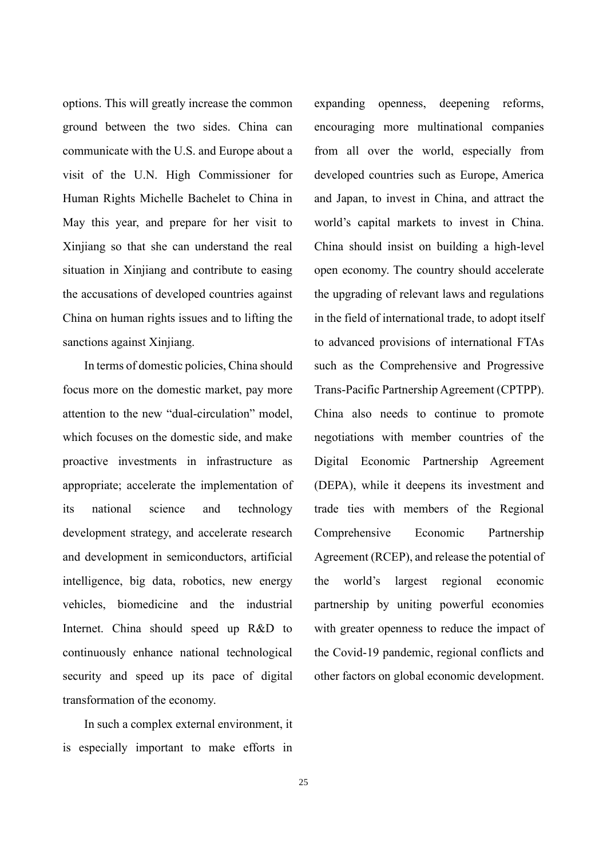options. This will greatly increase the common ground between the two sides. China can communicate with the U.S. and Europe about a visit of the U.N. High Commissioner for Human Rights Michelle Bachelet to China in May this year, and prepare for her visit to Xinjiang so that she can understand the real situation in Xinjiang and contribute to easing the accusations of developed countries against China on human rights issues and to lifting the sanctions against Xinjiang.

In terms of domestic policies, China should focus more on the domestic market, pay more attention to the new "dual-circulation" model, which focuses on the domestic side, and make proactive investments in infrastructure as appropriate; accelerate the implementation of its national science and technology development strategy, and accelerate research and development in semiconductors, artificial intelligence, big data, robotics, new energy vehicles, biomedicine and the industrial Internet. China should speed up R&D to continuously enhance national technological security and speed up its pace of digital transformation of the economy.

In such a complex external environment, it is especially important to make efforts in

expanding openness, deepening reforms, encouraging more multinational companies from all over the world, especially from developed countries such as Europe, America and Japan, to invest in China, and attract the world's capital markets to invest in China. China should insist on building a high-level open economy. The country should accelerate the upgrading of relevant laws and regulations in the field of international trade, to adopt itself to advanced provisions of international FTAs such as the Comprehensive and Progressive Trans-Pacific Partnership Agreement (CPTPP). China also needs to continue to promote negotiations with member countries of the Digital Economic Partnership Agreement (DEPA), while it deepens its investment and trade ties with members of the Regional Comprehensive Economic Partnership Agreement (RCEP), and release the potential of the world's largest regional economic partnership by uniting powerful economies with greater openness to reduce the impact of the Covid-19 pandemic, regional conflicts and other factors on global economic development.